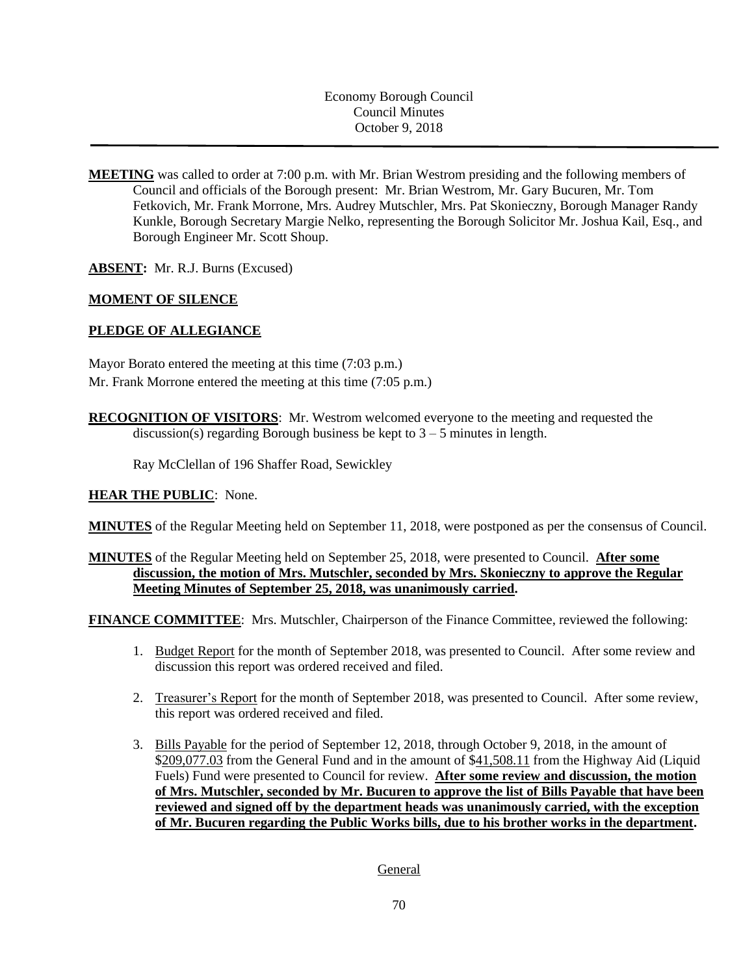Economy Borough Council Council Minutes October 9, 2018

**MEETING** was called to order at 7:00 p.m. with Mr. Brian Westrom presiding and the following members of Council and officials of the Borough present: Mr. Brian Westrom, Mr. Gary Bucuren, Mr. Tom Fetkovich, Mr. Frank Morrone, Mrs. Audrey Mutschler, Mrs. Pat Skonieczny, Borough Manager Randy Kunkle, Borough Secretary Margie Nelko, representing the Borough Solicitor Mr. Joshua Kail, Esq., and Borough Engineer Mr. Scott Shoup.

**ABSENT:** Mr. R.J. Burns (Excused)

#### **MOMENT OF SILENCE**

#### **PLEDGE OF ALLEGIANCE**

Mayor Borato entered the meeting at this time (7:03 p.m.) Mr. Frank Morrone entered the meeting at this time (7:05 p.m.)

**RECOGNITION OF VISITORS**: Mr. Westrom welcomed everyone to the meeting and requested the discussion(s) regarding Borough business be kept to  $3 - 5$  minutes in length.

Ray McClellan of 196 Shaffer Road, Sewickley

#### **HEAR THE PUBLIC**: None.

**MINUTES** of the Regular Meeting held on September 11, 2018, were postponed as per the consensus of Council.

## **MINUTES** of the Regular Meeting held on September 25, 2018, were presented to Council. **After some discussion, the motion of Mrs. Mutschler, seconded by Mrs. Skonieczny to approve the Regular Meeting Minutes of September 25, 2018, was unanimously carried.**

**FINANCE COMMITTEE:** Mrs. Mutschler, Chairperson of the Finance Committee, reviewed the following:

- 1. Budget Report for the month of September 2018, was presented to Council. After some review and discussion this report was ordered received and filed.
- 2. Treasurer's Report for the month of September 2018, was presented to Council. After some review, this report was ordered received and filed.
- 3. Bills Payable for the period of September 12, 2018, through October 9, 2018, in the amount of \$209,077.03 from the General Fund and in the amount of \$41,508.11 from the Highway Aid (Liquid Fuels) Fund were presented to Council for review. **After some review and discussion, the motion of Mrs. Mutschler, seconded by Mr. Bucuren to approve the list of Bills Payable that have been reviewed and signed off by the department heads was unanimously carried, with the exception of Mr. Bucuren regarding the Public Works bills, due to his brother works in the department.**

General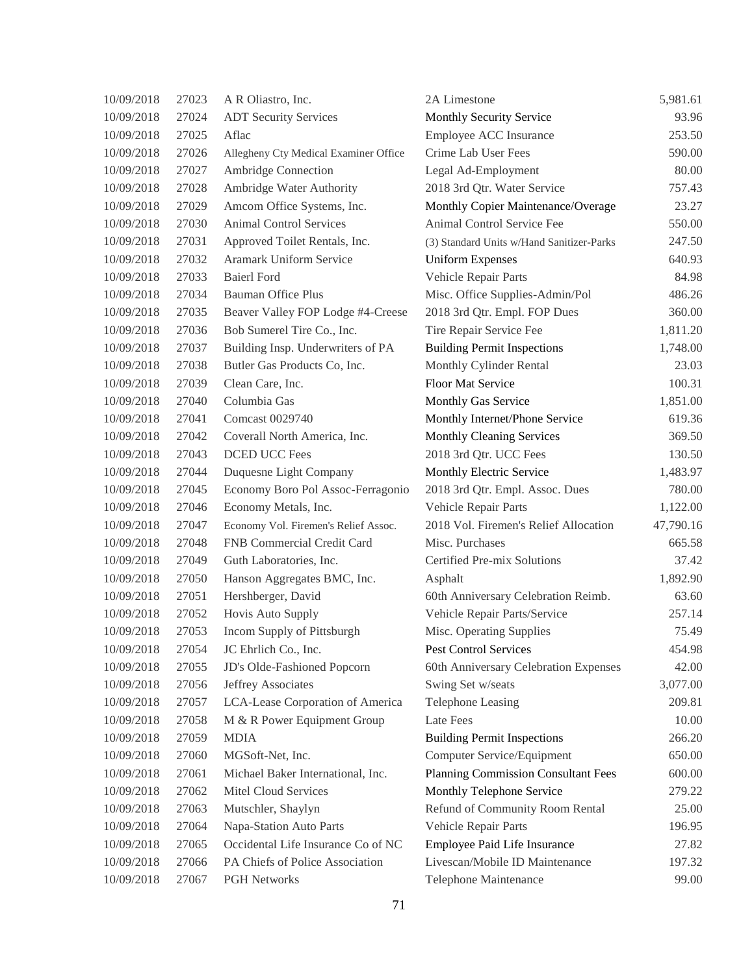| 10/09/2018 | 27023 | A R Oliastro, Inc.                    | 2A Limestone                               | 5,981.61  |
|------------|-------|---------------------------------------|--------------------------------------------|-----------|
| 10/09/2018 | 27024 | <b>ADT Security Services</b>          | Monthly Security Service                   | 93.96     |
| 10/09/2018 | 27025 | Aflac                                 | Employee ACC Insurance                     | 253.50    |
| 10/09/2018 | 27026 | Allegheny Cty Medical Examiner Office | Crime Lab User Fees                        | 590.00    |
| 10/09/2018 | 27027 | Ambridge Connection                   | Legal Ad-Employment                        | 80.00     |
| 10/09/2018 | 27028 | Ambridge Water Authority              | 2018 3rd Qtr. Water Service                | 757.43    |
| 10/09/2018 | 27029 | Amcom Office Systems, Inc.            | Monthly Copier Maintenance/Overage         | 23.27     |
| 10/09/2018 | 27030 | <b>Animal Control Services</b>        | Animal Control Service Fee                 | 550.00    |
| 10/09/2018 | 27031 | Approved Toilet Rentals, Inc.         | (3) Standard Units w/Hand Sanitizer-Parks  | 247.50    |
| 10/09/2018 | 27032 | Aramark Uniform Service               | <b>Uniform Expenses</b>                    | 640.93    |
| 10/09/2018 | 27033 | <b>Baierl Ford</b>                    | Vehicle Repair Parts                       | 84.98     |
| 10/09/2018 | 27034 | <b>Bauman Office Plus</b>             | Misc. Office Supplies-Admin/Pol            | 486.26    |
| 10/09/2018 | 27035 | Beaver Valley FOP Lodge #4-Creese     | 2018 3rd Qtr. Empl. FOP Dues               | 360.00    |
| 10/09/2018 | 27036 | Bob Sumerel Tire Co., Inc.            | Tire Repair Service Fee                    | 1,811.20  |
| 10/09/2018 | 27037 | Building Insp. Underwriters of PA     | <b>Building Permit Inspections</b>         | 1,748.00  |
| 10/09/2018 | 27038 | Butler Gas Products Co, Inc.          | Monthly Cylinder Rental                    | 23.03     |
| 10/09/2018 | 27039 | Clean Care, Inc.                      | Floor Mat Service                          | 100.31    |
| 10/09/2018 | 27040 | Columbia Gas                          | Monthly Gas Service                        | 1,851.00  |
| 10/09/2018 | 27041 | <b>Comcast 0029740</b>                | Monthly Internet/Phone Service             | 619.36    |
| 10/09/2018 | 27042 | Coverall North America, Inc.          | <b>Monthly Cleaning Services</b>           | 369.50    |
| 10/09/2018 | 27043 | <b>DCED UCC Fees</b>                  | 2018 3rd Qtr. UCC Fees                     | 130.50    |
| 10/09/2018 | 27044 | Duquesne Light Company                | Monthly Electric Service                   | 1,483.97  |
| 10/09/2018 | 27045 | Economy Boro Pol Assoc-Ferragonio     | 2018 3rd Qtr. Empl. Assoc. Dues            | 780.00    |
| 10/09/2018 | 27046 | Economy Metals, Inc.                  | Vehicle Repair Parts                       | 1,122.00  |
| 10/09/2018 | 27047 | Economy Vol. Firemen's Relief Assoc.  | 2018 Vol. Firemen's Relief Allocation      | 47,790.16 |
| 10/09/2018 | 27048 | FNB Commercial Credit Card            | Misc. Purchases                            | 665.58    |
| 10/09/2018 | 27049 | Guth Laboratories, Inc.               | Certified Pre-mix Solutions                | 37.42     |
| 10/09/2018 | 27050 | Hanson Aggregates BMC, Inc.           | Asphalt                                    | 1,892.90  |
| 10/09/2018 | 27051 | Hershberger, David                    | 60th Anniversary Celebration Reimb.        | 63.60     |
| 10/09/2018 | 27052 | Hovis Auto Supply                     | Vehicle Repair Parts/Service               | 257.14    |
| 10/09/2018 | 27053 | Incom Supply of Pittsburgh            | Misc. Operating Supplies                   | 75.49     |
| 10/09/2018 | 27054 | JC Ehrlich Co., Inc.                  | <b>Pest Control Services</b>               | 454.98    |
| 10/09/2018 | 27055 | JD's Olde-Fashioned Popcorn           | 60th Anniversary Celebration Expenses      | 42.00     |
| 10/09/2018 | 27056 | Jeffrey Associates                    | Swing Set w/seats                          | 3,077.00  |
| 10/09/2018 | 27057 | LCA-Lease Corporation of America      | Telephone Leasing                          | 209.81    |
| 10/09/2018 | 27058 | M & R Power Equipment Group           | Late Fees                                  | 10.00     |
| 10/09/2018 | 27059 | <b>MDIA</b>                           | <b>Building Permit Inspections</b>         | 266.20    |
| 10/09/2018 | 27060 | MGSoft-Net, Inc.                      | Computer Service/Equipment                 | 650.00    |
| 10/09/2018 | 27061 | Michael Baker International, Inc.     | <b>Planning Commission Consultant Fees</b> | 600.00    |
| 10/09/2018 | 27062 | Mitel Cloud Services                  | Monthly Telephone Service                  | 279.22    |
| 10/09/2018 | 27063 | Mutschler, Shaylyn                    | Refund of Community Room Rental            | 25.00     |
| 10/09/2018 | 27064 | Napa-Station Auto Parts               | Vehicle Repair Parts                       | 196.95    |
| 10/09/2018 | 27065 | Occidental Life Insurance Co of NC    | Employee Paid Life Insurance               | 27.82     |
| 10/09/2018 | 27066 | PA Chiefs of Police Association       | Livescan/Mobile ID Maintenance             | 197.32    |
| 10/09/2018 | 27067 | <b>PGH Networks</b>                   | Telephone Maintenance                      | 99.00     |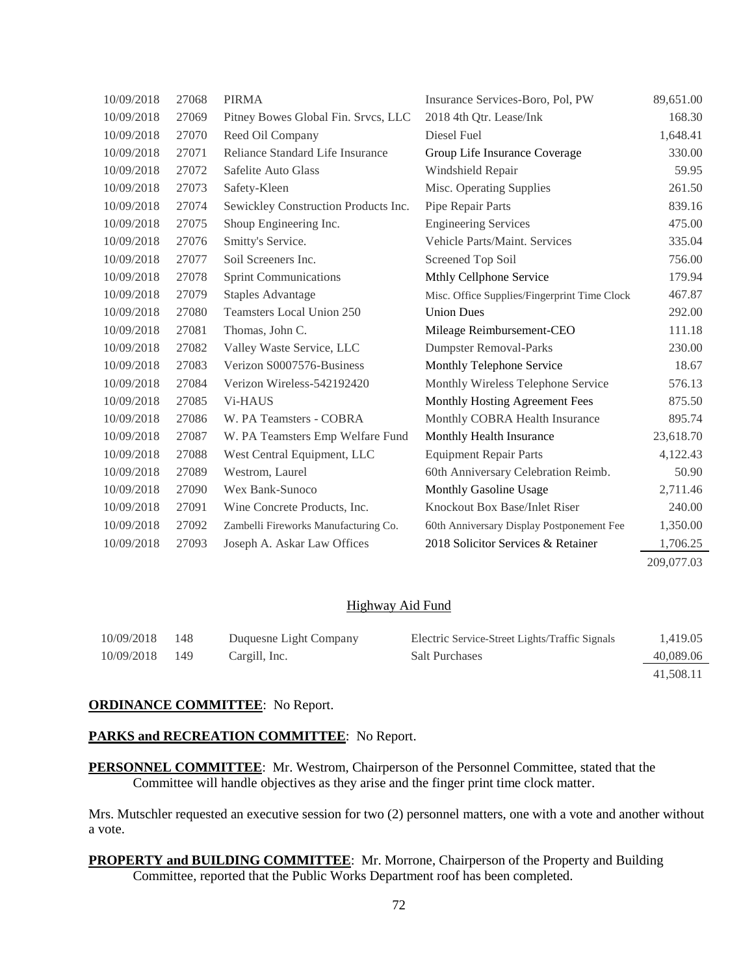| 10/09/2018 | 27068 | <b>PIRMA</b>                         | Insurance Services-Boro, Pol, PW             | 89,651.00  |
|------------|-------|--------------------------------------|----------------------------------------------|------------|
| 10/09/2018 | 27069 | Pitney Bowes Global Fin. Srvcs, LLC  | 2018 4th Qtr. Lease/Ink                      | 168.30     |
| 10/09/2018 | 27070 | Reed Oil Company                     | Diesel Fuel                                  | 1,648.41   |
| 10/09/2018 | 27071 | Reliance Standard Life Insurance     | Group Life Insurance Coverage                | 330.00     |
| 10/09/2018 | 27072 | Safelite Auto Glass                  | Windshield Repair                            | 59.95      |
| 10/09/2018 | 27073 | Safety-Kleen                         | Misc. Operating Supplies                     | 261.50     |
| 10/09/2018 | 27074 | Sewickley Construction Products Inc. | Pipe Repair Parts                            | 839.16     |
| 10/09/2018 | 27075 | Shoup Engineering Inc.               | <b>Engineering Services</b>                  | 475.00     |
| 10/09/2018 | 27076 | Smitty's Service.                    | Vehicle Parts/Maint. Services                | 335.04     |
| 10/09/2018 | 27077 | Soil Screeners Inc.                  | Screened Top Soil                            | 756.00     |
| 10/09/2018 | 27078 | <b>Sprint Communications</b>         | Mthly Cellphone Service                      | 179.94     |
| 10/09/2018 | 27079 | <b>Staples Advantage</b>             | Misc. Office Supplies/Fingerprint Time Clock | 467.87     |
| 10/09/2018 | 27080 | <b>Teamsters Local Union 250</b>     | <b>Union Dues</b>                            | 292.00     |
| 10/09/2018 | 27081 | Thomas, John C.                      | Mileage Reimbursement-CEO                    | 111.18     |
| 10/09/2018 | 27082 | Valley Waste Service, LLC            | <b>Dumpster Removal-Parks</b>                | 230.00     |
| 10/09/2018 | 27083 | Verizon S0007576-Business            | Monthly Telephone Service                    | 18.67      |
| 10/09/2018 | 27084 | Verizon Wireless-542192420           | Monthly Wireless Telephone Service           | 576.13     |
| 10/09/2018 | 27085 | <b>Vi-HAUS</b>                       | Monthly Hosting Agreement Fees               | 875.50     |
| 10/09/2018 | 27086 | W. PA Teamsters - COBRA              | Monthly COBRA Health Insurance               | 895.74     |
| 10/09/2018 | 27087 | W. PA Teamsters Emp Welfare Fund     | Monthly Health Insurance                     | 23,618.70  |
| 10/09/2018 | 27088 | West Central Equipment, LLC          | <b>Equipment Repair Parts</b>                | 4,122.43   |
| 10/09/2018 | 27089 | Westrom, Laurel                      | 60th Anniversary Celebration Reimb.          | 50.90      |
| 10/09/2018 | 27090 | Wex Bank-Sunoco                      | Monthly Gasoline Usage                       | 2,711.46   |
| 10/09/2018 | 27091 | Wine Concrete Products, Inc.         | Knockout Box Base/Inlet Riser                | 240.00     |
| 10/09/2018 | 27092 | Zambelli Fireworks Manufacturing Co. | 60th Anniversary Display Postponement Fee    | 1,350.00   |
| 10/09/2018 | 27093 | Joseph A. Askar Law Offices          | 2018 Solicitor Services & Retainer           | 1,706.25   |
|            |       |                                      |                                              | 209,077.03 |

## Highway Aid Fund

| 10/09/2018 | 148   | Duquesne Light Company | Electric Service-Street Lights/Traffic Signals | 1,419.05  |
|------------|-------|------------------------|------------------------------------------------|-----------|
| 10/09/2018 | - 149 | Cargill, Inc.          | <b>Salt Purchases</b>                          | 40,089.06 |
|            |       |                        |                                                | 41.508.11 |

#### **ORDINANCE COMMITTEE**: No Report.

#### PARKS and RECREATION COMMITTEE: No Report.

**PERSONNEL COMMITTEE**: Mr. Westrom, Chairperson of the Personnel Committee, stated that the Committee will handle objectives as they arise and the finger print time clock matter.

Mrs. Mutschler requested an executive session for two (2) personnel matters, one with a vote and another without a vote.

**PROPERTY and BUILDING COMMITTEE**: Mr. Morrone, Chairperson of the Property and Building Committee, reported that the Public Works Department roof has been completed.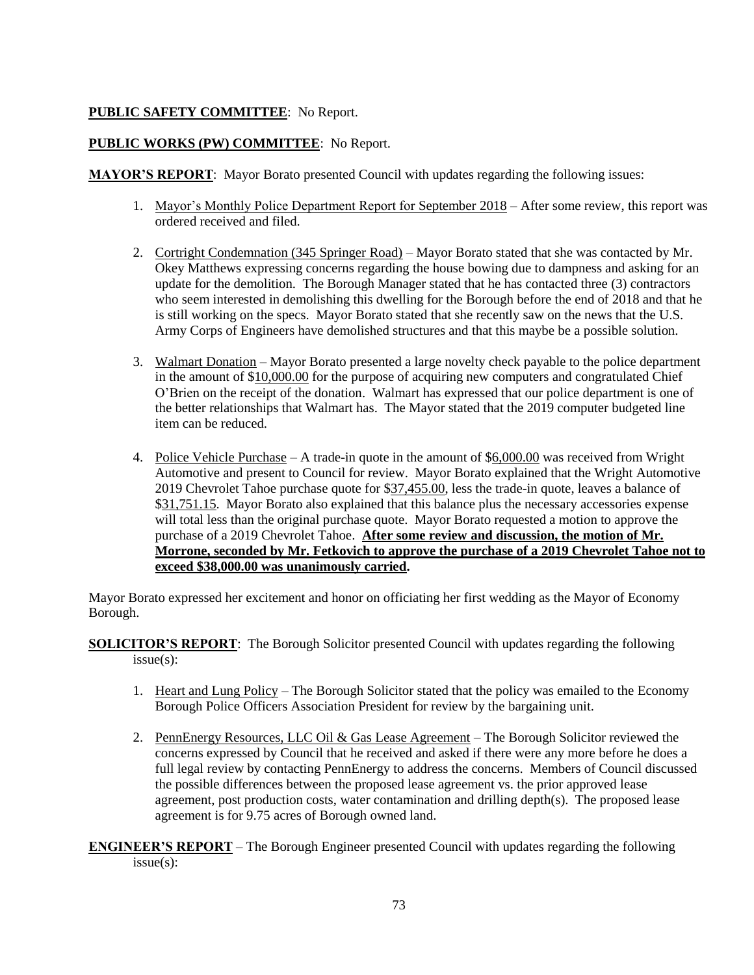# **PUBLIC SAFETY COMMITTEE**: No Report.

## **PUBLIC WORKS (PW) COMMITTEE**: No Report.

**MAYOR'S REPORT**: Mayor Borato presented Council with updates regarding the following issues:

- 1. Mayor's Monthly Police Department Report for September 2018 After some review, this report was ordered received and filed.
- 2. Cortright Condemnation (345 Springer Road) Mayor Borato stated that she was contacted by Mr. Okey Matthews expressing concerns regarding the house bowing due to dampness and asking for an update for the demolition. The Borough Manager stated that he has contacted three (3) contractors who seem interested in demolishing this dwelling for the Borough before the end of 2018 and that he is still working on the specs. Mayor Borato stated that she recently saw on the news that the U.S. Army Corps of Engineers have demolished structures and that this maybe be a possible solution.
- 3. Walmart Donation Mayor Borato presented a large novelty check payable to the police department in the amount of \$10,000.00 for the purpose of acquiring new computers and congratulated Chief O'Brien on the receipt of the donation. Walmart has expressed that our police department is one of the better relationships that Walmart has. The Mayor stated that the 2019 computer budgeted line item can be reduced.
- 4. Police Vehicle Purchase A trade-in quote in the amount of \$6,000.00 was received from Wright Automotive and present to Council for review. Mayor Borato explained that the Wright Automotive 2019 Chevrolet Tahoe purchase quote for \$37,455.00, less the trade-in quote, leaves a balance of \$31,751.15. Mayor Borato also explained that this balance plus the necessary accessories expense will total less than the original purchase quote. Mayor Borato requested a motion to approve the purchase of a 2019 Chevrolet Tahoe. **After some review and discussion, the motion of Mr. Morrone, seconded by Mr. Fetkovich to approve the purchase of a 2019 Chevrolet Tahoe not to exceed \$38,000.00 was unanimously carried.**

Mayor Borato expressed her excitement and honor on officiating her first wedding as the Mayor of Economy Borough.

**SOLICITOR'S REPORT**: The Borough Solicitor presented Council with updates regarding the following issue(s):

- 1. Heart and Lung Policy The Borough Solicitor stated that the policy was emailed to the Economy Borough Police Officers Association President for review by the bargaining unit.
- 2. PennEnergy Resources, LLC Oil & Gas Lease Agreement The Borough Solicitor reviewed the concerns expressed by Council that he received and asked if there were any more before he does a full legal review by contacting PennEnergy to address the concerns. Members of Council discussed the possible differences between the proposed lease agreement vs. the prior approved lease agreement, post production costs, water contamination and drilling depth(s). The proposed lease agreement is for 9.75 acres of Borough owned land.

**ENGINEER'S REPORT** – The Borough Engineer presented Council with updates regarding the following issue(s):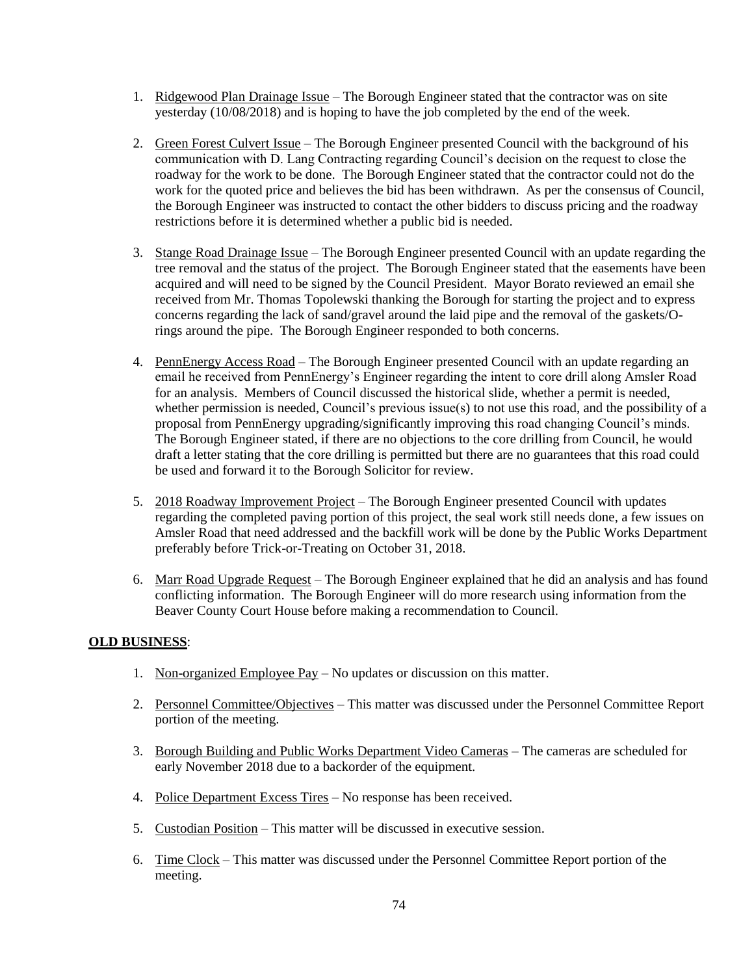- 1. Ridgewood Plan Drainage Issue The Borough Engineer stated that the contractor was on site yesterday (10/08/2018) and is hoping to have the job completed by the end of the week.
- 2. Green Forest Culvert Issue The Borough Engineer presented Council with the background of his communication with D. Lang Contracting regarding Council's decision on the request to close the roadway for the work to be done. The Borough Engineer stated that the contractor could not do the work for the quoted price and believes the bid has been withdrawn. As per the consensus of Council, the Borough Engineer was instructed to contact the other bidders to discuss pricing and the roadway restrictions before it is determined whether a public bid is needed.
- 3. Stange Road Drainage Issue The Borough Engineer presented Council with an update regarding the tree removal and the status of the project. The Borough Engineer stated that the easements have been acquired and will need to be signed by the Council President. Mayor Borato reviewed an email she received from Mr. Thomas Topolewski thanking the Borough for starting the project and to express concerns regarding the lack of sand/gravel around the laid pipe and the removal of the gaskets/Orings around the pipe. The Borough Engineer responded to both concerns.
- 4. PennEnergy Access Road The Borough Engineer presented Council with an update regarding an email he received from PennEnergy's Engineer regarding the intent to core drill along Amsler Road for an analysis. Members of Council discussed the historical slide, whether a permit is needed, whether permission is needed, Council's previous issue(s) to not use this road, and the possibility of a proposal from PennEnergy upgrading/significantly improving this road changing Council's minds. The Borough Engineer stated, if there are no objections to the core drilling from Council, he would draft a letter stating that the core drilling is permitted but there are no guarantees that this road could be used and forward it to the Borough Solicitor for review.
- 5. 2018 Roadway Improvement Project The Borough Engineer presented Council with updates regarding the completed paving portion of this project, the seal work still needs done, a few issues on Amsler Road that need addressed and the backfill work will be done by the Public Works Department preferably before Trick-or-Treating on October 31, 2018.
- 6. Marr Road Upgrade Request The Borough Engineer explained that he did an analysis and has found conflicting information. The Borough Engineer will do more research using information from the Beaver County Court House before making a recommendation to Council.

## **OLD BUSINESS**:

- 1. Non-organized Employee Pay No updates or discussion on this matter.
- 2. Personnel Committee/Objectives This matter was discussed under the Personnel Committee Report portion of the meeting.
- 3. Borough Building and Public Works Department Video Cameras The cameras are scheduled for early November 2018 due to a backorder of the equipment.
- 4. Police Department Excess Tires No response has been received.
- 5. Custodian Position This matter will be discussed in executive session.
- 6. Time Clock This matter was discussed under the Personnel Committee Report portion of the meeting.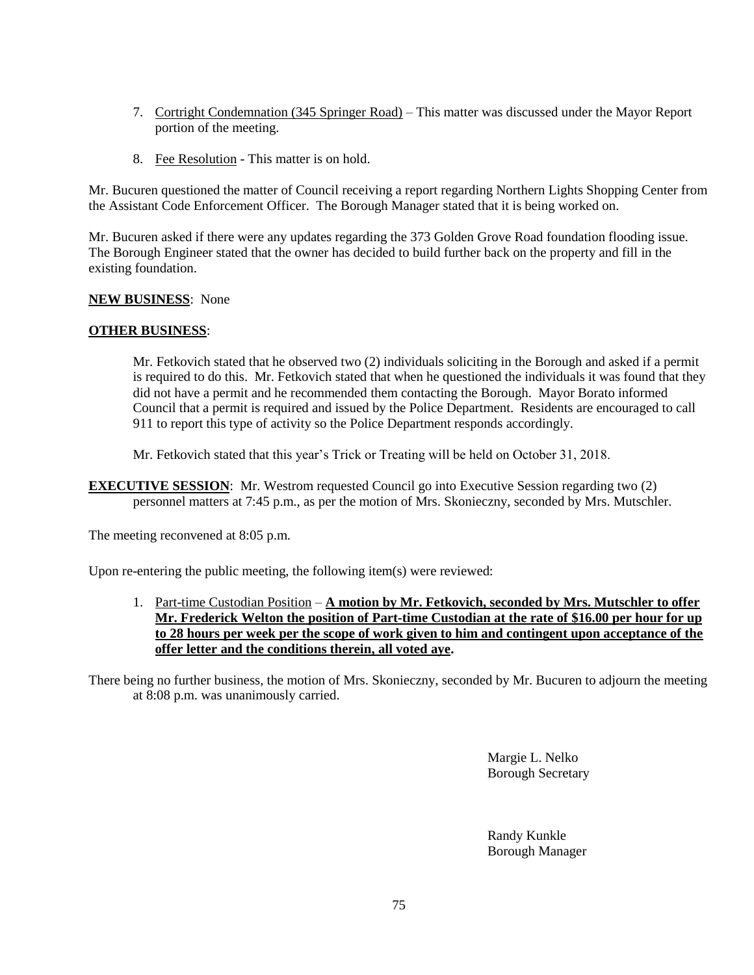- 7. Cortright Condemnation (345 Springer Road) This matter was discussed under the Mayor Report portion of the meeting.
- 8. Fee Resolution This matter is on hold.

Mr. Bucuren questioned the matter of Council receiving a report regarding Northern Lights Shopping Center from the Assistant Code Enforcement Officer. The Borough Manager stated that it is being worked on.

Mr. Bucuren asked if there were any updates regarding the 373 Golden Grove Road foundation flooding issue. The Borough Engineer stated that the owner has decided to build further back on the property and fill in the existing foundation.

## **NEW BUSINESS**: None

## **OTHER BUSINESS**:

Mr. Fetkovich stated that he observed two (2) individuals soliciting in the Borough and asked if a permit is required to do this. Mr. Fetkovich stated that when he questioned the individuals it was found that they did not have a permit and he recommended them contacting the Borough. Mayor Borato informed Council that a permit is required and issued by the Police Department. Residents are encouraged to call 911 to report this type of activity so the Police Department responds accordingly.

Mr. Fetkovich stated that this year's Trick or Treating will be held on October 31, 2018.

**EXECUTIVE SESSION:** Mr. Westrom requested Council go into Executive Session regarding two (2) personnel matters at 7:45 p.m., as per the motion of Mrs. Skonieczny, seconded by Mrs. Mutschler.

The meeting reconvened at 8:05 p.m.

Upon re-entering the public meeting, the following item(s) were reviewed:

1. Part-time Custodian Position – **A motion by Mr. Fetkovich, seconded by Mrs. Mutschler to offer Mr. Frederick Welton the position of Part-time Custodian at the rate of \$16.00 per hour for up to 28 hours per week per the scope of work given to him and contingent upon acceptance of the offer letter and the conditions therein, all voted aye.**

There being no further business, the motion of Mrs. Skonieczny, seconded by Mr. Bucuren to adjourn the meeting at 8:08 p.m. was unanimously carried.

> Margie L. Nelko Borough Secretary

Randy Kunkle Borough Manager